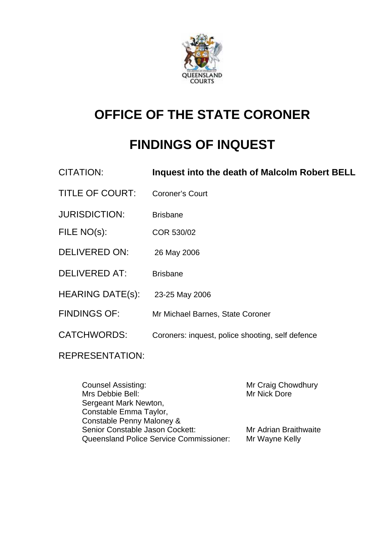

# **OFFICE OF THE STATE CORONER**

# **FINDINGS OF INQUEST**

| Inquest into the death of Malcolm Robert BELL    |
|--------------------------------------------------|
| Coroner's Court                                  |
| <b>Brisbane</b>                                  |
| COR 530/02                                       |
| 26 May 2006                                      |
| <b>Brisbane</b>                                  |
| 23-25 May 2006                                   |
| Mr Michael Barnes, State Coroner                 |
| Coroners: inquest, police shooting, self defence |
|                                                  |

REPRESENTATION:

| <b>Counsel Assisting:</b>                      | Mr Craig Chowdhury    |
|------------------------------------------------|-----------------------|
| Mrs Debbie Bell:                               | Mr Nick Dore          |
| Sergeant Mark Newton,                          |                       |
| Constable Emma Taylor,                         |                       |
| Constable Penny Maloney &                      |                       |
| Senior Constable Jason Cockett:                | Mr Adrian Braithwaite |
| <b>Queensland Police Service Commissioner:</b> | Mr Wayne Kelly        |
|                                                |                       |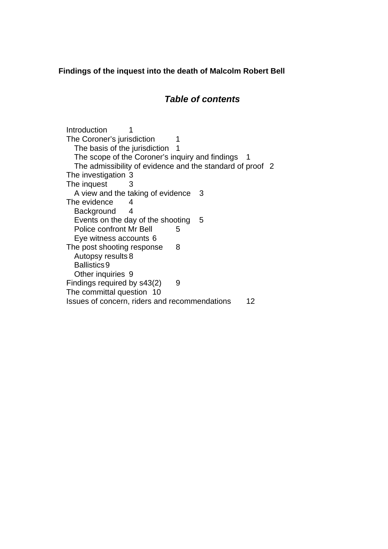**Findings of the inquest into the death of Malcolm Robert Bell** 

# *Table of contents*

Introduction 1 The Coroner's jurisdiction 1 The basis of the jurisdiction 1 The scope of the Coroner's inquiry and findings 1 The admissibility of evidence and the standard of proof 2 The investigation 3 The inquest 3 A view and the taking of evidence 3 The evidence 4 Background 4 Events on the day of the shooting 5 Police confront Mr Bell 5 Eye witness accounts 6 The post shooting response 8 Autopsy results 8 Ballistics 9 Other inquiries 9 Findings required by  $s43(2)$  9 The committal question 10 Issues of concern, riders and recommendations 12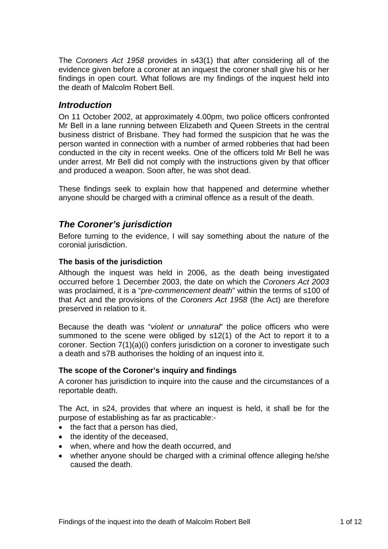The *Coroners Act 1958* provides in s43(1) that after considering all of the evidence given before a coroner at an inquest the coroner shall give his or her findings in open court. What follows are my findings of the inquest held into the death of Malcolm Robert Bell.

## *Introduction*

On 11 October 2002, at approximately 4.00pm, two police officers confronted Mr Bell in a lane running between Elizabeth and Queen Streets in the central business district of Brisbane. They had formed the suspicion that he was the person wanted in connection with a number of armed robberies that had been conducted in the city in recent weeks. One of the officers told Mr Bell he was under arrest. Mr Bell did not comply with the instructions given by that officer and produced a weapon. Soon after, he was shot dead.

These findings seek to explain how that happened and determine whether anyone should be charged with a criminal offence as a result of the death.

## *The Coroner's jurisdiction*

Before turning to the evidence, I will say something about the nature of the coronial jurisdiction.

#### **The basis of the jurisdiction**

Although the inquest was held in 2006, as the death being investigated occurred before 1 December 2003, the date on which the *Coroners Act 2003* was proclaimed, it is a "*pre-commencement death*" within the terms of s100 of that Act and the provisions of the *Coroners Act 1958* (the Act) are therefore preserved in relation to it.

Because the death was "*violent or unnatural*" the police officers who were summoned to the scene were obliged by s12(1) of the Act to report it to a coroner. Section 7(1)(a)(i) confers jurisdiction on a coroner to investigate such a death and s7B authorises the holding of an inquest into it.

#### **The scope of the Coroner's inquiry and findings**

A coroner has jurisdiction to inquire into the cause and the circumstances of a reportable death.

The Act, in s24, provides that where an inquest is held, it shall be for the purpose of establishing as far as practicable:-

- the fact that a person has died,
- the identity of the deceased,
- when, where and how the death occurred, and
- whether anyone should be charged with a criminal offence alleging he/she caused the death.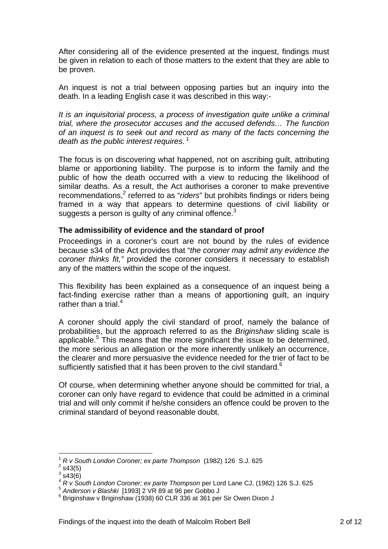After considering all of the evidence presented at the inquest, findings must be given in relation to each of those matters to the extent that they are able to be proven.

An inquest is not a trial between opposing parties but an inquiry into the death. In a leading English case it was described in this way:-

*It is an inquisitorial process, a process of investigation quite unlike a criminal trial, where the prosecutor accuses and the accused defends… The function of an inquest is to seek out and record as many of the facts concerning the death as the public interest requires.*<sup>1</sup>

The focus is on discovering what happened, not on ascribing guilt, attributing blame or apportioning liability. The purpose is to inform the family and the public of how the death occurred with a view to reducing the likelihood of similar deaths. As a result, the Act authorises a coroner to make preventive recommendations,<sup>2</sup> referred to as "*riders*" but prohibits findings or riders being framed in a way that appears to determine questions of civil liability or suggests a person is guilty of any criminal offence. $3$ 

#### **The admissibility of evidence and the standard of proof**

Proceedings in a coroner's court are not bound by the rules of evidence because s34 of the Act provides that "*the coroner may admit any evidence the coroner thinks fit,"* provided the coroner considers it necessary to establish any of the matters within the scope of the inquest.

This flexibility has been explained as a consequence of an inquest being a fact-finding exercise rather than a means of apportioning guilt, an inquiry rather than a trial. $4$ 

A coroner should apply the civil standard of proof, namely the balance of probabilities, but the approach referred to as the *Briginshaw* sliding scale is applicable.<sup>5</sup> This means that the more significant the issue to be determined, the more serious an allegation or the more inherently unlikely an occurrence, the clearer and more persuasive the evidence needed for the trier of fact to be sufficiently satisfied that it has been proven to the civil standard. $6$ 

Of course, when determining whether anyone should be committed for trial, a coroner can only have regard to evidence that could be admitted in a criminal trial and will only commit if he/she considers an offence could be proven to the criminal standard of beyond reasonable doubt.

1

<sup>1</sup> *R v South London Coroner; ex parte Thompson* (1982) 126 S.J. 625 2

 $2$  s43(5)

 $3$  s43(6)

<sup>&</sup>lt;sup>4</sup> *R v South London Coroner; ex parte Thompson* per Lord Lane CJ, (1982) 126 S.J. 625<br>
<sup>5</sup> Anderson v Blashki [1993] 2 VR 89 at 96 per Gobbo J

 $6$  Briginshaw v Briginshaw (1938) 60 CLR 336 at 361 per Sir Owen Dixon J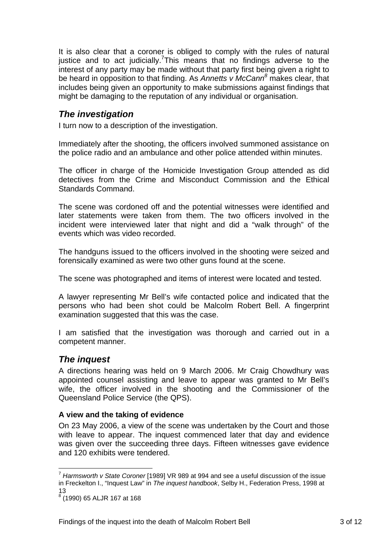It is also clear that a coroner is obliged to comply with the rules of natural justice and to act judicially.<sup>7</sup>This means that no findings adverse to the interest of any party may be made without that party first being given a right to be heard in opposition to that finding. As *Annetts v McCann<sup>8</sup>* makes clear, that includes being given an opportunity to make submissions against findings that might be damaging to the reputation of any individual or organisation.

## *The investigation*

I turn now to a description of the investigation.

Immediately after the shooting, the officers involved summoned assistance on the police radio and an ambulance and other police attended within minutes.

The officer in charge of the Homicide Investigation Group attended as did detectives from the Crime and Misconduct Commission and the Ethical Standards Command.

The scene was cordoned off and the potential witnesses were identified and later statements were taken from them. The two officers involved in the incident were interviewed later that night and did a "walk through" of the events which was video recorded.

The handguns issued to the officers involved in the shooting were seized and forensically examined as were two other guns found at the scene.

The scene was photographed and items of interest were located and tested.

A lawyer representing Mr Bell's wife contacted police and indicated that the persons who had been shot could be Malcolm Robert Bell. A fingerprint examination suggested that this was the case.

I am satisfied that the investigation was thorough and carried out in a competent manner.

## *The inquest*

A directions hearing was held on 9 March 2006. Mr Craig Chowdhury was appointed counsel assisting and leave to appear was granted to Mr Bell's wife, the officer involved in the shooting and the Commissioner of the Queensland Police Service (the QPS).

#### **A view and the taking of evidence**

On 23 May 2006, a view of the scene was undertaken by the Court and those with leave to appear. The inquest commenced later that day and evidence was given over the succeeding three days. Fifteen witnesses gave evidence and 120 exhibits were tendered.

1

<sup>7</sup> *Harmsworth v State Coroner* [1989] VR 989 at 994 and see a useful discussion of the issue in Freckelton I., "Inquest Law" in *The inquest handbook*, Selby H., Federation Press, 1998 at 13

<sup>8</sup> (1990) 65 ALJR 167 at 168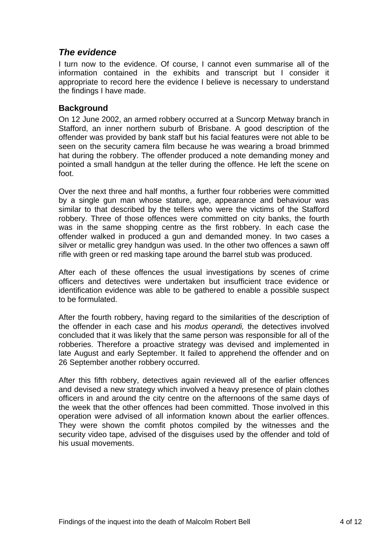## *The evidence*

I turn now to the evidence. Of course, I cannot even summarise all of the information contained in the exhibits and transcript but I consider it appropriate to record here the evidence I believe is necessary to understand the findings I have made.

### **Background**

On 12 June 2002, an armed robbery occurred at a Suncorp Metway branch in Stafford, an inner northern suburb of Brisbane. A good description of the offender was provided by bank staff but his facial features were not able to be seen on the security camera film because he was wearing a broad brimmed hat during the robbery. The offender produced a note demanding money and pointed a small handgun at the teller during the offence. He left the scene on foot.

Over the next three and half months, a further four robberies were committed by a single gun man whose stature, age, appearance and behaviour was similar to that described by the tellers who were the victims of the Stafford robbery. Three of those offences were committed on city banks, the fourth was in the same shopping centre as the first robbery. In each case the offender walked in produced a gun and demanded money. In two cases a silver or metallic grey handgun was used. In the other two offences a sawn off rifle with green or red masking tape around the barrel stub was produced.

After each of these offences the usual investigations by scenes of crime officers and detectives were undertaken but insufficient trace evidence or identification evidence was able to be gathered to enable a possible suspect to be formulated.

After the fourth robbery, having regard to the similarities of the description of the offender in each case and his *modus operandi,* the detectives involved concluded that it was likely that the same person was responsible for all of the robberies. Therefore a proactive strategy was devised and implemented in late August and early September. It failed to apprehend the offender and on 26 September another robbery occurred.

After this fifth robbery, detectives again reviewed all of the earlier offences and devised a new strategy which involved a heavy presence of plain clothes officers in and around the city centre on the afternoons of the same days of the week that the other offences had been committed. Those involved in this operation were advised of all information known about the earlier offences. They were shown the comfit photos compiled by the witnesses and the security video tape, advised of the disguises used by the offender and told of his usual movements.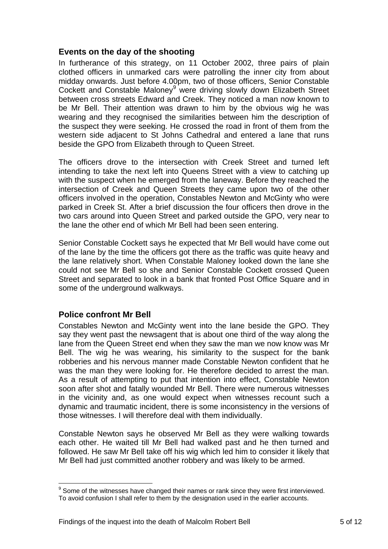#### **Events on the day of the shooting**

In furtherance of this strategy, on 11 October 2002, three pairs of plain clothed officers in unmarked cars were patrolling the inner city from about midday onwards. Just before 4.00pm, two of those officers, Senior Constable Cockett and Constable Maloney<sup>9</sup> were driving slowly down Elizabeth Street between cross streets Edward and Creek. They noticed a man now known to be Mr Bell. Their attention was drawn to him by the obvious wig he was wearing and they recognised the similarities between him the description of the suspect they were seeking. He crossed the road in front of them from the western side adjacent to St Johns Cathedral and entered a lane that runs beside the GPO from Elizabeth through to Queen Street.

The officers drove to the intersection with Creek Street and turned left intending to take the next left into Queens Street with a view to catching up with the suspect when he emerged from the laneway. Before they reached the intersection of Creek and Queen Streets they came upon two of the other officers involved in the operation, Constables Newton and McGinty who were parked in Creek St. After a brief discussion the four officers then drove in the two cars around into Queen Street and parked outside the GPO, very near to the lane the other end of which Mr Bell had been seen entering.

Senior Constable Cockett says he expected that Mr Bell would have come out of the lane by the time the officers got there as the traffic was quite heavy and the lane relatively short. When Constable Maloney looked down the lane she could not see Mr Bell so she and Senior Constable Cockett crossed Queen Street and separated to look in a bank that fronted Post Office Square and in some of the underground walkways.

### **Police confront Mr Bell**

Constables Newton and McGinty went into the lane beside the GPO. They say they went past the newsagent that is about one third of the way along the lane from the Queen Street end when they saw the man we now know was Mr Bell. The wig he was wearing, his similarity to the suspect for the bank robberies and his nervous manner made Constable Newton confident that he was the man they were looking for. He therefore decided to arrest the man. As a result of attempting to put that intention into effect, Constable Newton soon after shot and fatally wounded Mr Bell. There were numerous witnesses in the vicinity and, as one would expect when witnesses recount such a dynamic and traumatic incident, there is some inconsistency in the versions of those witnesses. I will therefore deal with them individually.

Constable Newton says he observed Mr Bell as they were walking towards each other. He waited till Mr Bell had walked past and he then turned and followed. He saw Mr Bell take off his wig which led him to consider it likely that Mr Bell had just committed another robbery and was likely to be armed.

<sup>1</sup>  $9$  Some of the witnesses have changed their names or rank since they were first interviewed. To avoid confusion I shall refer to them by the designation used in the earlier accounts.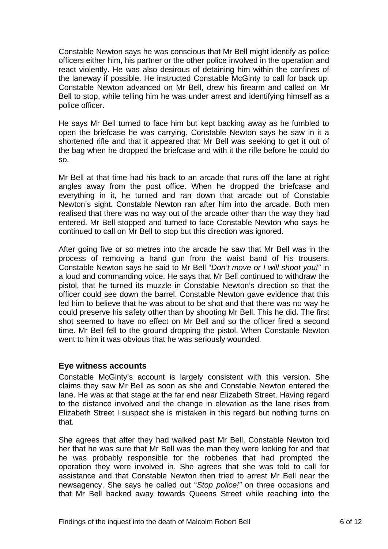Constable Newton says he was conscious that Mr Bell might identify as police officers either him, his partner or the other police involved in the operation and react violently. He was also desirous of detaining him within the confines of the laneway if possible. He instructed Constable McGinty to call for back up. Constable Newton advanced on Mr Bell, drew his firearm and called on Mr Bell to stop, while telling him he was under arrest and identifying himself as a police officer.

He says Mr Bell turned to face him but kept backing away as he fumbled to open the briefcase he was carrying. Constable Newton says he saw in it a shortened rifle and that it appeared that Mr Bell was seeking to get it out of the bag when he dropped the briefcase and with it the rifle before he could do so.

Mr Bell at that time had his back to an arcade that runs off the lane at right angles away from the post office. When he dropped the briefcase and everything in it, he turned and ran down that arcade out of Constable Newton's sight. Constable Newton ran after him into the arcade. Both men realised that there was no way out of the arcade other than the way they had entered. Mr Bell stopped and turned to face Constable Newton who says he continued to call on Mr Bell to stop but this direction was ignored.

After going five or so metres into the arcade he saw that Mr Bell was in the process of removing a hand gun from the waist band of his trousers. Constable Newton says he said to Mr Bell "*Don't move or I will shoot you!"* in a loud and commanding voice. He says that Mr Bell continued to withdraw the pistol, that he turned its muzzle in Constable Newton's direction so that the officer could see down the barrel. Constable Newton gave evidence that this led him to believe that he was about to be shot and that there was no way he could preserve his safety other than by shooting Mr Bell. This he did. The first shot seemed to have no effect on Mr Bell and so the officer fired a second time. Mr Bell fell to the ground dropping the pistol. When Constable Newton went to him it was obvious that he was seriously wounded.

### **Eye witness accounts**

Constable McGinty's account is largely consistent with this version. She claims they saw Mr Bell as soon as she and Constable Newton entered the lane. He was at that stage at the far end near Elizabeth Street. Having regard to the distance involved and the change in elevation as the lane rises from Elizabeth Street I suspect she is mistaken in this regard but nothing turns on that.

She agrees that after they had walked past Mr Bell, Constable Newton told her that he was sure that Mr Bell was the man they were looking for and that he was probably responsible for the robberies that had prompted the operation they were involved in. She agrees that she was told to call for assistance and that Constable Newton then tried to arrest Mr Bell near the newsagency. She says he called out "*Stop police!"* on three occasions and that Mr Bell backed away towards Queens Street while reaching into the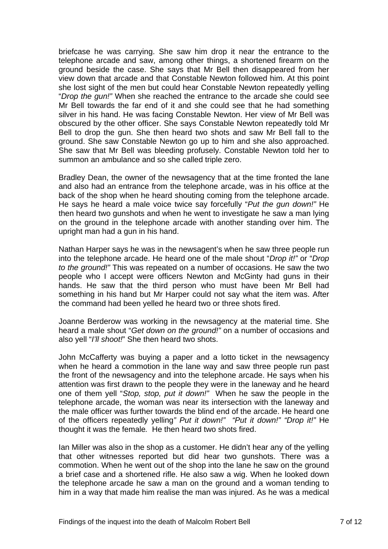briefcase he was carrying. She saw him drop it near the entrance to the telephone arcade and saw, among other things, a shortened firearm on the ground beside the case. She says that Mr Bell then disappeared from her view down that arcade and that Constable Newton followed him. At this point she lost sight of the men but could hear Constable Newton repeatedly yelling "*Drop the gun!"* When she reached the entrance to the arcade she could see Mr Bell towards the far end of it and she could see that he had something silver in his hand. He was facing Constable Newton. Her view of Mr Bell was obscured by the other officer. She says Constable Newton repeatedly told Mr Bell to drop the gun. She then heard two shots and saw Mr Bell fall to the ground. She saw Constable Newton go up to him and she also approached. She saw that Mr Bell was bleeding profusely. Constable Newton told her to summon an ambulance and so she called triple zero.

Bradley Dean, the owner of the newsagency that at the time fronted the lane and also had an entrance from the telephone arcade, was in his office at the back of the shop when he heard shouting coming from the telephone arcade. He says he heard a male voice twice say forcefully "*Put the gun down!"* He then heard two gunshots and when he went to investigate he saw a man lying on the ground in the telephone arcade with another standing over him. The upright man had a gun in his hand.

Nathan Harper says he was in the newsagent's when he saw three people run into the telephone arcade. He heard one of the male shout "*Drop it!"* or "*Drop to the ground!"* This was repeated on a number of occasions. He saw the two people who I accept were officers Newton and McGinty had guns in their hands. He saw that the third person who must have been Mr Bell had something in his hand but Mr Harper could not say what the item was. After the command had been yelled he heard two or three shots fired.

Joanne Berderow was working in the newsagency at the material time. She heard a male shout "*Get down on the ground!"* on a number of occasions and also yell "*I'll shoot!*" She then heard two shots.

John McCafferty was buying a paper and a lotto ticket in the newsagency when he heard a commotion in the lane way and saw three people run past the front of the newsagency and into the telephone arcade. He says when his attention was first drawn to the people they were in the laneway and he heard one of them yell "*Stop, stop, put it down!"* When he saw the people in the telephone arcade, the woman was near its intersection with the laneway and the male officer was further towards the blind end of the arcade. He heard one of the officers repeatedly yelling*" Put it down!" "Put it down!" "Drop it!"* He thought it was the female*.* He then heard two shots fired.

Ian Miller was also in the shop as a customer. He didn't hear any of the yelling that other witnesses reported but did hear two gunshots. There was a commotion. When he went out of the shop into the lane he saw on the ground a brief case and a shortened rifle. He also saw a wig. When he looked down the telephone arcade he saw a man on the ground and a woman tending to him in a way that made him realise the man was injured. As he was a medical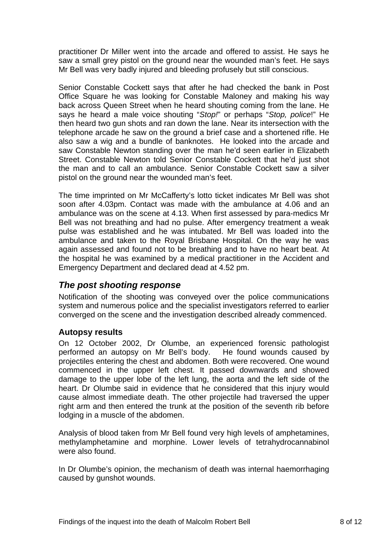practitioner Dr Miller went into the arcade and offered to assist. He says he saw a small grey pistol on the ground near the wounded man's feet. He says Mr Bell was very badly injured and bleeding profusely but still conscious.

Senior Constable Cockett says that after he had checked the bank in Post Office Square he was looking for Constable Maloney and making his way back across Queen Street when he heard shouting coming from the lane. He says he heard a male voice shouting "*Stop!*" or perhaps "*Stop, police*!" He then heard two gun shots and ran down the lane. Near its intersection with the telephone arcade he saw on the ground a brief case and a shortened rifle. He also saw a wig and a bundle of banknotes. He looked into the arcade and saw Constable Newton standing over the man he'd seen earlier in Elizabeth Street. Constable Newton told Senior Constable Cockett that he'd just shot the man and to call an ambulance. Senior Constable Cockett saw a silver pistol on the ground near the wounded man's feet.

The time imprinted on Mr McCafferty's lotto ticket indicates Mr Bell was shot soon after 4.03pm. Contact was made with the ambulance at 4.06 and an ambulance was on the scene at 4.13. When first assessed by para-medics Mr Bell was not breathing and had no pulse. After emergency treatment a weak pulse was established and he was intubated. Mr Bell was loaded into the ambulance and taken to the Royal Brisbane Hospital. On the way he was again assessed and found not to be breathing and to have no heart beat. At the hospital he was examined by a medical practitioner in the Accident and Emergency Department and declared dead at 4.52 pm.

## *The post shooting response*

Notification of the shooting was conveyed over the police communications system and numerous police and the specialist investigators referred to earlier converged on the scene and the investigation described already commenced.

### **Autopsy results**

On 12 October 2002, Dr Olumbe, an experienced forensic pathologist performed an autopsy on Mr Bell's body. He found wounds caused by projectiles entering the chest and abdomen. Both were recovered. One wound commenced in the upper left chest. It passed downwards and showed damage to the upper lobe of the left lung, the aorta and the left side of the heart. Dr Olumbe said in evidence that he considered that this injury would cause almost immediate death. The other projectile had traversed the upper right arm and then entered the trunk at the position of the seventh rib before lodging in a muscle of the abdomen.

Analysis of blood taken from Mr Bell found very high levels of amphetamines, methylamphetamine and morphine. Lower levels of tetrahydrocannabinol were also found.

In Dr Olumbe's opinion, the mechanism of death was internal haemorrhaging caused by gunshot wounds.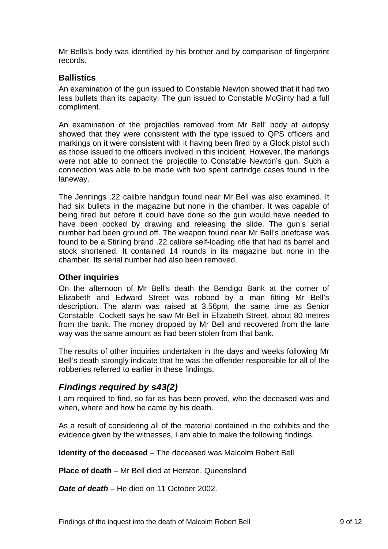Mr Bells's body was identified by his brother and by comparison of fingerprint records.

## **Ballistics**

An examination of the gun issued to Constable Newton showed that it had two less bullets than its capacity. The gun issued to Constable McGinty had a full compliment.

An examination of the projectiles removed from Mr Bell' body at autopsy showed that they were consistent with the type issued to QPS officers and markings on it were consistent with it having been fired by a Glock pistol such as those issued to the officers involved in this incident. However, the markings were not able to connect the projectile to Constable Newton's gun. Such a connection was able to be made with two spent cartridge cases found in the laneway.

The Jennings .22 calibre handgun found near Mr Bell was also examined. It had six bullets in the magazine but none in the chamber. It was capable of being fired but before it could have done so the gun would have needed to have been cocked by drawing and releasing the slide. The gun's serial number had been ground off. The weapon found near Mr Bell's briefcase was found to be a Stirling brand .22 calibre self-loading rifle that had its barrel and stock shortened. It contained 14 rounds in its magazine but none in the chamber. Its serial number had also been removed.

### **Other inquiries**

On the afternoon of Mr Bell's death the Bendigo Bank at the corner of Elizabeth and Edward Street was robbed by a man fitting Mr Bell's description. The alarm was raised at 3.56pm, the same time as Senior Constable Cockett says he saw Mr Bell in Elizabeth Street, about 80 metres from the bank. The money dropped by Mr Bell and recovered from the lane way was the same amount as had been stolen from that bank.

The results of other inquiries undertaken in the days and weeks following Mr Bell's death strongly indicate that he was the offender responsible for all of the robberies referred to earlier in these findings.

# *Findings required by s43(2)*

I am required to find, so far as has been proved, who the deceased was and when, where and how he came by his death.

As a result of considering all of the material contained in the exhibits and the evidence given by the witnesses, I am able to make the following findings.

**Identity of the deceased** – The deceased was Malcolm Robert Bell

**Place of death** – Mr Bell died at Herston, Queensland

*Date of death* – He died on 11 October 2002.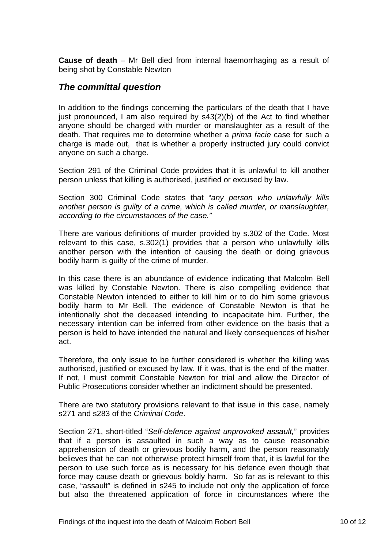**Cause of death** – Mr Bell died from internal haemorrhaging as a result of being shot by Constable Newton

## *The committal question*

In addition to the findings concerning the particulars of the death that I have just pronounced, I am also required by s43(2)(b) of the Act to find whether anyone should be charged with murder or manslaughter as a result of the death. That requires me to determine whether a *prima facie* case for such a charge is made out, that is whether a properly instructed jury could convict anyone on such a charge.

Section 291 of the Criminal Code provides that it is unlawful to kill another person unless that killing is authorised, justified or excused by law.

Section 300 Criminal Code states that "*any person who unlawfully kills another person is guilty of a crime, which is called murder, or manslaughter, according to the circumstances of the case."* 

There are various definitions of murder provided by s.302 of the Code. Most relevant to this case, s.302(1) provides that a person who unlawfully kills another person with the intention of causing the death or doing grievous bodily harm is guilty of the crime of murder.

In this case there is an abundance of evidence indicating that Malcolm Bell was killed by Constable Newton. There is also compelling evidence that Constable Newton intended to either to kill him or to do him some grievous bodily harm to Mr Bell. The evidence of Constable Newton is that he intentionally shot the deceased intending to incapacitate him. Further, the necessary intention can be inferred from other evidence on the basis that a person is held to have intended the natural and likely consequences of his/her act.

Therefore, the only issue to be further considered is whether the killing was authorised, justified or excused by law. If it was, that is the end of the matter. If not, I must commit Constable Newton for trial and allow the Director of Public Prosecutions consider whether an indictment should be presented.

There are two statutory provisions relevant to that issue in this case, namely s271 and s283 of the *Criminal Code*.

Section 271, short-titled "*Self-defence against unprovoked assault,*" provides that if a person is assaulted in such a way as to cause reasonable apprehension of death or grievous bodily harm, and the person reasonably believes that he can not otherwise protect himself from that, it is lawful for the person to use such force as is necessary for his defence even though that force may cause death or grievous boldly harm. So far as is relevant to this case, "assault" is defined in s245 to include not only the application of force but also the threatened application of force in circumstances where the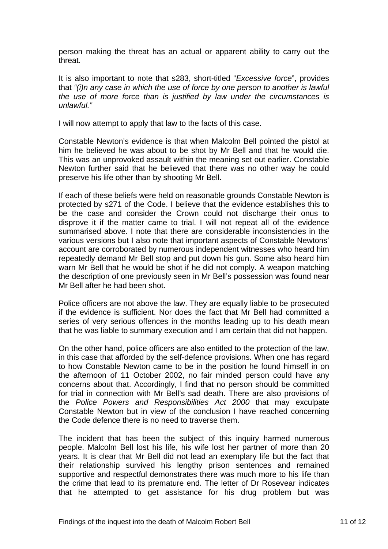person making the threat has an actual or apparent ability to carry out the threat.

It is also important to note that s283, short-titled "*Excessive force*", provides that *"(i)n any case in which the use of force by one person to another is lawful the use of more force than is justified by law under the circumstances is unlawful."* 

I will now attempt to apply that law to the facts of this case.

Constable Newton's evidence is that when Malcolm Bell pointed the pistol at him he believed he was about to be shot by Mr Bell and that he would die. This was an unprovoked assault within the meaning set out earlier. Constable Newton further said that he believed that there was no other way he could preserve his life other than by shooting Mr Bell.

If each of these beliefs were held on reasonable grounds Constable Newton is protected by s271 of the Code. I believe that the evidence establishes this to be the case and consider the Crown could not discharge their onus to disprove it if the matter came to trial. I will not repeat all of the evidence summarised above. I note that there are considerable inconsistencies in the various versions but I also note that important aspects of Constable Newtons' account are corroborated by numerous independent witnesses who heard him repeatedly demand Mr Bell stop and put down his gun. Some also heard him warn Mr Bell that he would be shot if he did not comply. A weapon matching the description of one previously seen in Mr Bell's possession was found near Mr Bell after he had been shot.

Police officers are not above the law. They are equally liable to be prosecuted if the evidence is sufficient. Nor does the fact that Mr Bell had committed a series of very serious offences in the months leading up to his death mean that he was liable to summary execution and I am certain that did not happen.

On the other hand, police officers are also entitled to the protection of the law, in this case that afforded by the self-defence provisions. When one has regard to how Constable Newton came to be in the position he found himself in on the afternoon of 11 October 2002, no fair minded person could have any concerns about that. Accordingly, I find that no person should be committed for trial in connection with Mr Bell's sad death. There are also provisions of the *Police Powers and Responsibilities Act 2000* that may exculpate Constable Newton but in view of the conclusion I have reached concerning the Code defence there is no need to traverse them.

The incident that has been the subject of this inquiry harmed numerous people. Malcolm Bell lost his life, his wife lost her partner of more than 20 years. It is clear that Mr Bell did not lead an exemplary life but the fact that their relationship survived his lengthy prison sentences and remained supportive and respectful demonstrates there was much more to his life than the crime that lead to its premature end. The letter of Dr Rosevear indicates that he attempted to get assistance for his drug problem but was